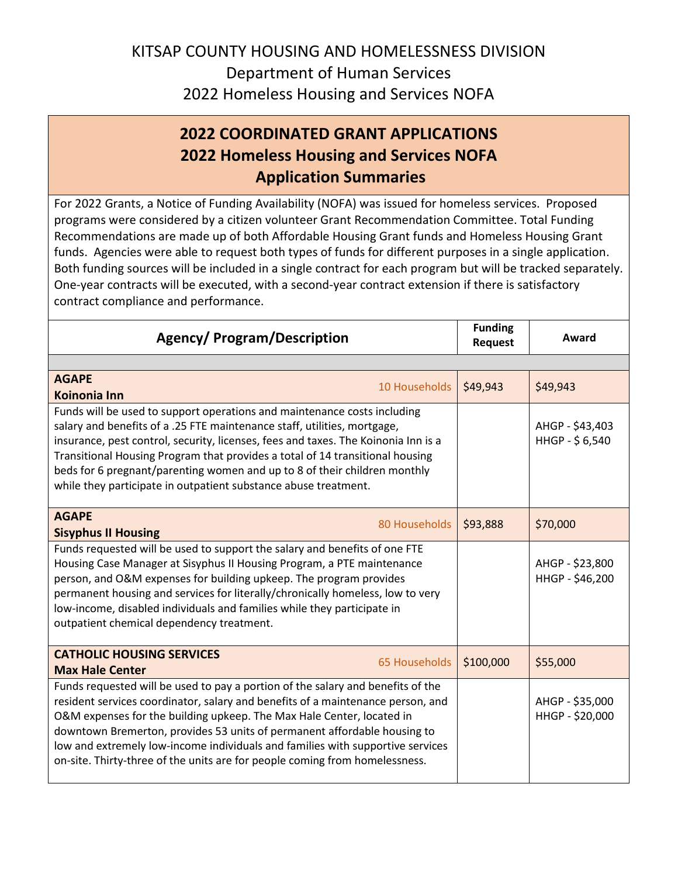## KITSAP COUNTY HOUSING AND HOMELESSNESS DIVISION Department of Human Services 2022 Homeless Housing and Services NOFA

## **2022 COORDINATED GRANT APPLICATIONS 2022 Homeless Housing and Services NOFA Application Summaries**

For 2022 Grants, a Notice of Funding Availability (NOFA) was issued for homeless services. Proposed programs were considered by a citizen volunteer Grant Recommendation Committee. Total Funding Recommendations are made up of both Affordable Housing Grant funds and Homeless Housing Grant funds. Agencies were able to request both types of funds for different purposes in a single application. Both funding sources will be included in a single contract for each program but will be tracked separately. One-year contracts will be executed, with a second-year contract extension if there is satisfactory contract compliance and performance.

| <b>Agency/ Program/Description</b>                                                                                                                                                                                                                                                                                                                                                                                                                                                       | <b>Funding</b><br><b>Request</b> | Award                              |
|------------------------------------------------------------------------------------------------------------------------------------------------------------------------------------------------------------------------------------------------------------------------------------------------------------------------------------------------------------------------------------------------------------------------------------------------------------------------------------------|----------------------------------|------------------------------------|
|                                                                                                                                                                                                                                                                                                                                                                                                                                                                                          |                                  |                                    |
| <b>AGAPE</b><br>10 Households<br>Koinonia Inn                                                                                                                                                                                                                                                                                                                                                                                                                                            | \$49,943                         | \$49,943                           |
| Funds will be used to support operations and maintenance costs including<br>salary and benefits of a .25 FTE maintenance staff, utilities, mortgage,<br>insurance, pest control, security, licenses, fees and taxes. The Koinonia Inn is a<br>Transitional Housing Program that provides a total of 14 transitional housing<br>beds for 6 pregnant/parenting women and up to 8 of their children monthly<br>while they participate in outpatient substance abuse treatment.              |                                  | AHGP - \$43,403<br>HHGP - \$6,540  |
| <b>AGAPE</b><br>80 Households<br><b>Sisyphus II Housing</b>                                                                                                                                                                                                                                                                                                                                                                                                                              | \$93,888                         | \$70,000                           |
| Funds requested will be used to support the salary and benefits of one FTE<br>Housing Case Manager at Sisyphus II Housing Program, a PTE maintenance<br>person, and O&M expenses for building upkeep. The program provides<br>permanent housing and services for literally/chronically homeless, low to very<br>low-income, disabled individuals and families while they participate in<br>outpatient chemical dependency treatment.                                                     |                                  | AHGP - \$23,800<br>HHGP - \$46,200 |
| <b>CATHOLIC HOUSING SERVICES</b><br>65 Households<br><b>Max Hale Center</b>                                                                                                                                                                                                                                                                                                                                                                                                              | \$100,000                        | \$55,000                           |
| Funds requested will be used to pay a portion of the salary and benefits of the<br>resident services coordinator, salary and benefits of a maintenance person, and<br>O&M expenses for the building upkeep. The Max Hale Center, located in<br>downtown Bremerton, provides 53 units of permanent affordable housing to<br>low and extremely low-income individuals and families with supportive services<br>on-site. Thirty-three of the units are for people coming from homelessness. |                                  | AHGP - \$35,000<br>HHGP - \$20,000 |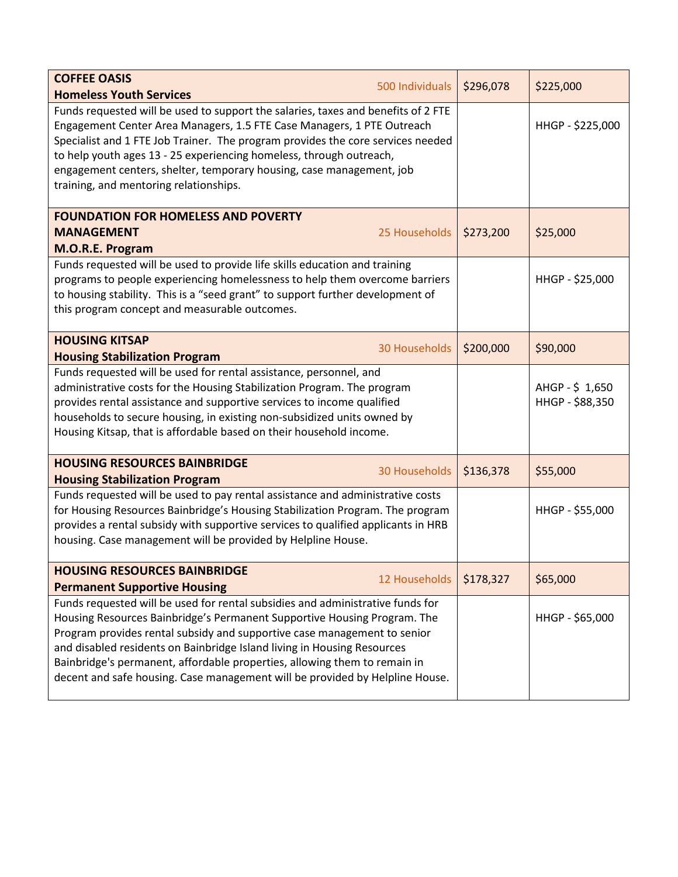| <b>COFFEE OASIS</b><br>500 Individuals<br><b>Homeless Youth Services</b>                                                                                                                                                                                                                                                                                                                                                                | \$296,078 | \$225,000                         |
|-----------------------------------------------------------------------------------------------------------------------------------------------------------------------------------------------------------------------------------------------------------------------------------------------------------------------------------------------------------------------------------------------------------------------------------------|-----------|-----------------------------------|
| Funds requested will be used to support the salaries, taxes and benefits of 2 FTE<br>Engagement Center Area Managers, 1.5 FTE Case Managers, 1 PTE Outreach<br>Specialist and 1 FTE Job Trainer. The program provides the core services needed<br>to help youth ages 13 - 25 experiencing homeless, through outreach,<br>engagement centers, shelter, temporary housing, case management, job<br>training, and mentoring relationships. |           | HHGP - \$225,000                  |
| <b>FOUNDATION FOR HOMELESS AND POVERTY</b>                                                                                                                                                                                                                                                                                                                                                                                              |           |                                   |
| 25 Households<br><b>MANAGEMENT</b><br>M.O.R.E. Program                                                                                                                                                                                                                                                                                                                                                                                  | \$273,200 | \$25,000                          |
| Funds requested will be used to provide life skills education and training<br>programs to people experiencing homelessness to help them overcome barriers<br>to housing stability. This is a "seed grant" to support further development of<br>this program concept and measurable outcomes.                                                                                                                                            |           | HHGP - \$25,000                   |
| <b>HOUSING KITSAP</b><br><b>30 Households</b><br><b>Housing Stabilization Program</b>                                                                                                                                                                                                                                                                                                                                                   | \$200,000 | \$90,000                          |
| Funds requested will be used for rental assistance, personnel, and<br>administrative costs for the Housing Stabilization Program. The program<br>provides rental assistance and supportive services to income qualified<br>households to secure housing, in existing non-subsidized units owned by<br>Housing Kitsap, that is affordable based on their household income.                                                               |           | AHGP - \$1,650<br>HHGP - \$88,350 |
| <b>HOUSING RESOURCES BAINBRIDGE</b><br><b>30 Households</b><br><b>Housing Stabilization Program</b>                                                                                                                                                                                                                                                                                                                                     | \$136,378 | \$55,000                          |
| Funds requested will be used to pay rental assistance and administrative costs<br>for Housing Resources Bainbridge's Housing Stabilization Program. The program<br>provides a rental subsidy with supportive services to qualified applicants in HRB<br>housing. Case management will be provided by Helpline House.                                                                                                                    |           | HHGP - \$55,000                   |
| <b>HOUSING RESOURCES BAINBRIDGE</b><br>12 Households                                                                                                                                                                                                                                                                                                                                                                                    | \$178,327 | \$65,000                          |
| <b>Permanent Supportive Housing</b><br>Funds requested will be used for rental subsidies and administrative funds for                                                                                                                                                                                                                                                                                                                   |           |                                   |
| Housing Resources Bainbridge's Permanent Supportive Housing Program. The<br>Program provides rental subsidy and supportive case management to senior<br>and disabled residents on Bainbridge Island living in Housing Resources<br>Bainbridge's permanent, affordable properties, allowing them to remain in<br>decent and safe housing. Case management will be provided by Helpline House.                                            |           | HHGP - \$65,000                   |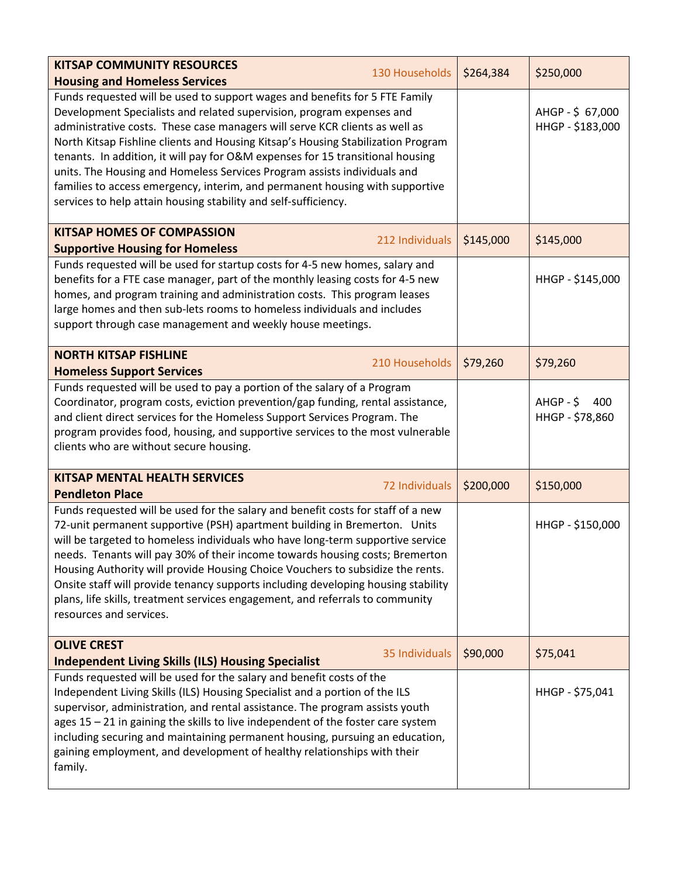| <b>KITSAP COMMUNITY RESOURCES</b>                                                                                                                                                                                                                                                                                                                                                                                                                                                                                                                                                                                                        |                 |           |                                       |
|------------------------------------------------------------------------------------------------------------------------------------------------------------------------------------------------------------------------------------------------------------------------------------------------------------------------------------------------------------------------------------------------------------------------------------------------------------------------------------------------------------------------------------------------------------------------------------------------------------------------------------------|-----------------|-----------|---------------------------------------|
| <b>Housing and Homeless Services</b>                                                                                                                                                                                                                                                                                                                                                                                                                                                                                                                                                                                                     | 130 Households  | \$264,384 | \$250,000                             |
| Funds requested will be used to support wages and benefits for 5 FTE Family<br>Development Specialists and related supervision, program expenses and<br>administrative costs. These case managers will serve KCR clients as well as<br>North Kitsap Fishline clients and Housing Kitsap's Housing Stabilization Program<br>tenants. In addition, it will pay for O&M expenses for 15 transitional housing<br>units. The Housing and Homeless Services Program assists individuals and<br>families to access emergency, interim, and permanent housing with supportive<br>services to help attain housing stability and self-sufficiency. |                 |           | AHGP-\$ 67,000<br>HHGP - \$183,000    |
| <b>KITSAP HOMES OF COMPASSION</b>                                                                                                                                                                                                                                                                                                                                                                                                                                                                                                                                                                                                        | 212 Individuals | \$145,000 | \$145,000                             |
| <b>Supportive Housing for Homeless</b>                                                                                                                                                                                                                                                                                                                                                                                                                                                                                                                                                                                                   |                 |           |                                       |
| Funds requested will be used for startup costs for 4-5 new homes, salary and<br>benefits for a FTE case manager, part of the monthly leasing costs for 4-5 new<br>homes, and program training and administration costs. This program leases<br>large homes and then sub-lets rooms to homeless individuals and includes<br>support through case management and weekly house meetings.                                                                                                                                                                                                                                                    |                 |           | HHGP - \$145,000                      |
| <b>NORTH KITSAP FISHLINE</b>                                                                                                                                                                                                                                                                                                                                                                                                                                                                                                                                                                                                             | 210 Households  | \$79,260  | \$79,260                              |
| <b>Homeless Support Services</b>                                                                                                                                                                                                                                                                                                                                                                                                                                                                                                                                                                                                         |                 |           |                                       |
| Funds requested will be used to pay a portion of the salary of a Program<br>Coordinator, program costs, eviction prevention/gap funding, rental assistance,<br>and client direct services for the Homeless Support Services Program. The<br>program provides food, housing, and supportive services to the most vulnerable<br>clients who are without secure housing.                                                                                                                                                                                                                                                                    |                 |           | $A HGP - $$<br>400<br>HHGP - \$78,860 |
| <b>KITSAP MENTAL HEALTH SERVICES</b><br><b>Pendleton Place</b>                                                                                                                                                                                                                                                                                                                                                                                                                                                                                                                                                                           | 72 Individuals  | \$200,000 | \$150,000                             |
| Funds requested will be used for the salary and benefit costs for staff of a new<br>72-unit permanent supportive (PSH) apartment building in Bremerton. Units<br>will be targeted to homeless individuals who have long-term supportive service<br>needs. Tenants will pay 30% of their income towards housing costs; Bremerton<br>Housing Authority will provide Housing Choice Vouchers to subsidize the rents.<br>Onsite staff will provide tenancy supports including developing housing stability<br>plans, life skills, treatment services engagement, and referrals to community<br>resources and services.                       |                 |           | HHGP - \$150,000                      |
| <b>OLIVE CREST</b><br><b>Independent Living Skills (ILS) Housing Specialist</b>                                                                                                                                                                                                                                                                                                                                                                                                                                                                                                                                                          | 35 Individuals  | \$90,000  | \$75,041                              |
| Funds requested will be used for the salary and benefit costs of the<br>Independent Living Skills (ILS) Housing Specialist and a portion of the ILS<br>supervisor, administration, and rental assistance. The program assists youth<br>ages 15 - 21 in gaining the skills to live independent of the foster care system<br>including securing and maintaining permanent housing, pursuing an education,<br>gaining employment, and development of healthy relationships with their<br>family.                                                                                                                                            |                 |           | HHGP - \$75,041                       |